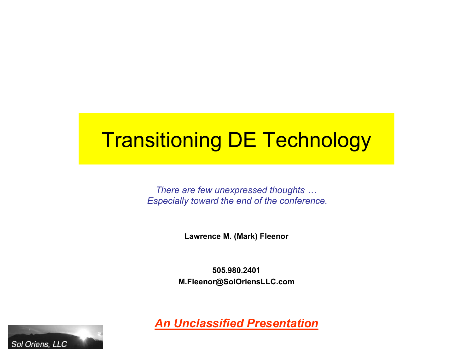# Transitioning DE Technology

*There are few unexpressed thoughts … Especially toward the end of the conference.*

**Lawrence M. (Mark) Fleenor**

**505.980.2401 M.Fleenor@SolOriensLLC.com**



*An Unclassified Presentation*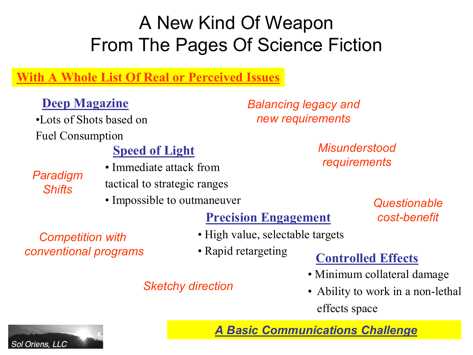## A New Kind Of Weapon From The Pages Of Science Fiction

#### **With A Whole List Of Real or Perceived Issues**

#### **Deep Magazine**

•Lots of Shots based on Fuel Consumption

#### **Speed of Light**

*Paradigm Shifts*

- Immediate attack from tactical to strategic ranges
- Impossible to outmaneuver

### **Precision Engagement**

- High value, selectable targets
- Rapid retargeting

### **Controlled Effects**

- Minimum collateral damage
- Ability to work in a non-lethal effects space

*A Basic Communications Challenge*

#### *Competition with conventional programs*

#### *Sketchy direction*



*Balancing legacy and new requirements*

> *Misunderstood requirements*

> > *Questionable cost-benefit*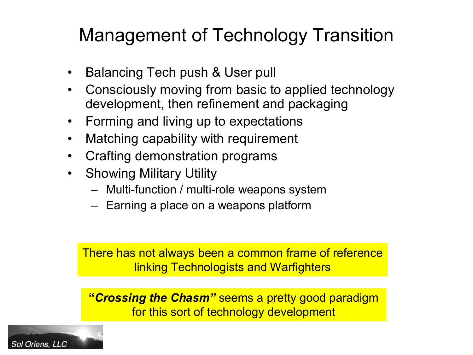# Management of Technology Transition

- Balancing Tech push & User pull
- Consciously moving from basic to applied technology development, then refinement and packaging
- Forming and living up to expectations
- Matching capability with requirement
- Crafting demonstration programs
- Showing Military Utility
	- $-$  Multi-function / multi-role weapons system
	- Earning a place on a weapons platform

There has not always been a common frame of reference linking Technologists and Warfighters

**"***Crossing the Chasm"* seems a pretty good paradigm for this sort of technology development

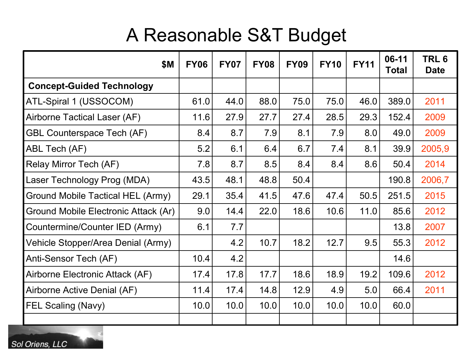## A Reasonable S&T Budget

| <b>\$M</b>                               | <b>FY06</b> | <b>FY07</b> | <b>FY08</b> | <b>FY09</b> | <b>FY10</b> | <b>FY11</b> | 06-11<br><b>Total</b> | TRL <sub>6</sub><br><b>Date</b> |
|------------------------------------------|-------------|-------------|-------------|-------------|-------------|-------------|-----------------------|---------------------------------|
| <b>Concept-Guided Technology</b>         |             |             |             |             |             |             |                       |                                 |
| ATL-Spiral 1 (USSOCOM)                   | 61.0        | 44.0        | 88.0        | 75.0        | 75.0        | 46.0        | 389.0                 | 2011                            |
| Airborne Tactical Laser (AF)             | 11.6        | 27.9        | 27.7        | 27.4        | 28.5        | 29.3        | 152.4                 | 2009                            |
| <b>GBL Counterspace Tech (AF)</b>        | 8.4         | 8.7         | 7.9         | 8.1         | 7.9         | 8.0         | 49.0                  | 2009                            |
| ABL Tech (AF)                            | 5.2         | 6.1         | 6.4         | 6.7         | 7.4         | 8.1         | 39.9                  | 2005,9                          |
| <b>Relay Mirror Tech (AF)</b>            | 7.8         | 8.7         | 8.5         | 8.4         | 8.4         | 8.6         | 50.4                  | 2014                            |
| Laser Technology Prog (MDA)              | 43.5        | 48.1        | 48.8        | 50.4        |             |             | 190.8                 | 2006,7                          |
| <b>Ground Mobile Tactical HEL (Army)</b> | 29.1        | 35.4        | 41.5        | 47.6        | 47.4        | 50.5        | 251.5                 | 2015                            |
| Ground Mobile Electronic Attack (Ar)     | 9.0         | 14.4        | 22.0        | 18.6        | 10.6        | 11.0        | 85.6                  | 2012                            |
| Countermine/Counter IED (Army)           | 6.1         | 7.7         |             |             |             |             | 13.8                  | 2007                            |
| Vehicle Stopper/Area Denial (Army)       |             | 4.2         | 10.7        | 18.2        | 12.7        | 9.5         | 55.3                  | 2012                            |
| Anti-Sensor Tech (AF)                    | 10.4        | 4.2         |             |             |             |             | 14.6                  |                                 |
| Airborne Electronic Attack (AF)          | 17.4        | 17.8        | 17.7        | 18.6        | 18.9        | 19.2        | 109.6                 | 2012                            |
| Airborne Active Denial (AF)              | 11.4        | 17.4        | 14.8        | 12.9        | 4.9         | 5.0         | 66.4                  | 2011                            |
| <b>FEL Scaling (Navy)</b>                | 10.0        | 10.0        | 10.0        | 10.0        | 10.0        | 10.0        | 60.0                  |                                 |
|                                          |             |             |             |             |             |             |                       |                                 |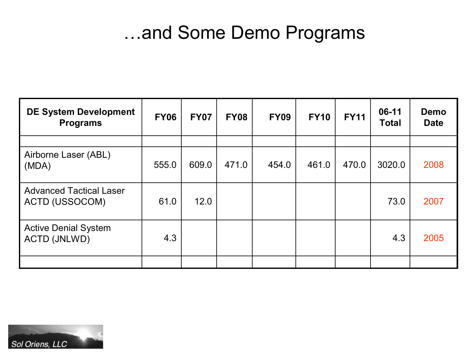## …and Some Demo Programs

| <b>DE System Development</b><br><b>Programs</b>    | <b>FY06</b> | <b>FY07</b> | <b>FY08</b> | <b>FY09</b> | <b>FY10</b> | <b>FY11</b> | 06-11<br><b>Total</b> | <b>Demo</b><br><b>Date</b> |
|----------------------------------------------------|-------------|-------------|-------------|-------------|-------------|-------------|-----------------------|----------------------------|
|                                                    |             |             |             |             |             |             |                       |                            |
| Airborne Laser (ABL)<br>(MDA)                      | 555.0       | 609.0       | 471.0       | 454.0       | 461.0       | 470.0       | 3020.0                | 2008                       |
| <b>Advanced Tactical Laser</b><br>ACTD (USSOCOM)   | 61.0        | 12.0        |             |             |             |             | 73.0                  | 2007                       |
| <b>Active Denial System</b><br><b>ACTD (JNLWD)</b> | 4.3         |             |             |             |             |             | 4.3                   | 2005                       |
|                                                    |             |             |             |             |             |             |                       |                            |

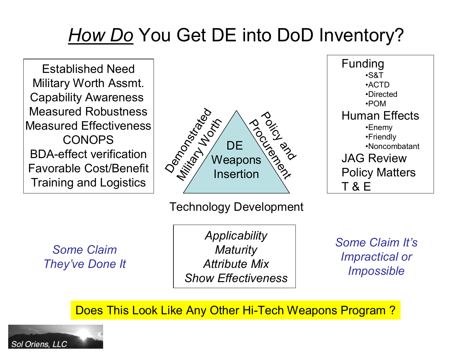# *How Do* You Get DE into DoD Inventory?

Established Need Military Worth Assmt. Capability Awareness Measured Robustness Measured Effectiveness CONOPS BDAeffect verification Favorable Cost/Benefit Training and Logistics



Technology Development

*Some Claim They've Done It*

*Applicability Maturity Attribute Mix Show Effectiveness*

*Some Claim It's Impractical or Impossible*

Funding

•S&T •ACTD •Directed •POM

Human Effects •Enemy •Friendly

JAG Review

T & E

Policy Matters

•Noncombatant

Does This Look Like Any Other Hi-Tech Weapons Program?

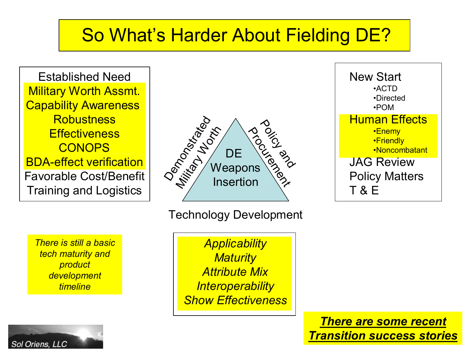## So What's Harder About Fielding DE?

Established Need Military Worth Assmt. Capability Awareness **Robustness Effectiveness CONOPS** BDAeffect verification Favorable Cost/Benefit Training and Logistics



#### Technology Development

*There is still a basic tech maturity and product development timeline*

Sol Oriens, LLC

*Applicability Maturity Attribute Mix Interoperability Show Effectiveness*

New Start •ACTD •Directed •POM Human Effects •Enemy •Friendly •Noncombatant JAG Review Policy Matters T & E

*There are some recent Transition success stories*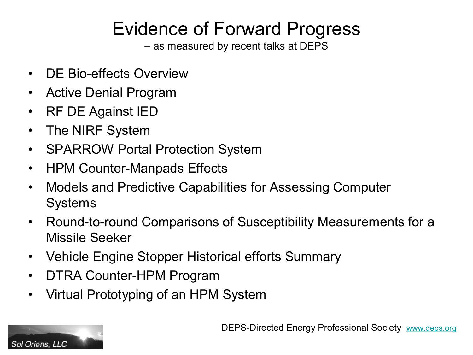# Evidence of Forward Progress

– as measured by recent talks at DEPS

- DE Bio-effects Overview
- Active Denial Program
- RF DE Against IED
- The NIRF System

Sol Oriens, LLC

- SPARROW Portal Protection System
- HPM Counter-Manpads Effects
- Models and Predictive Capabilities for Assessing Computer Systems
- Round-to-round Comparisons of Susceptibility Measurements for a Missile Seeker
- Vehicle Engine Stopper Historical efforts Summary
- DTRA Counter-HPM Program
- Virtual Prototyping of an HPM System

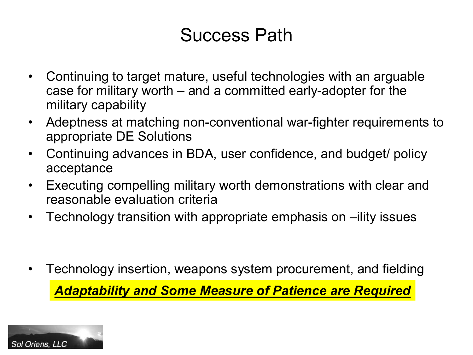## Success Path

- Continuing to target mature, useful technologies with an arguable case for military worth  $-$  and a committed early-adopter for the military capability
- Adeptness at matching non-conventional war-fighter requirements to appropriate DE Solutions
- Continuing advances in BDA, user confidence, and budget/ policy acceptance
- Executing compelling military worth demonstrations with clear and reasonable evaluation criteria
- Technology transition with appropriate emphasis on –ility issues

• Technology insertion, weapons system procurement, and fielding *Adaptability and Some Measure of Patience are Required*